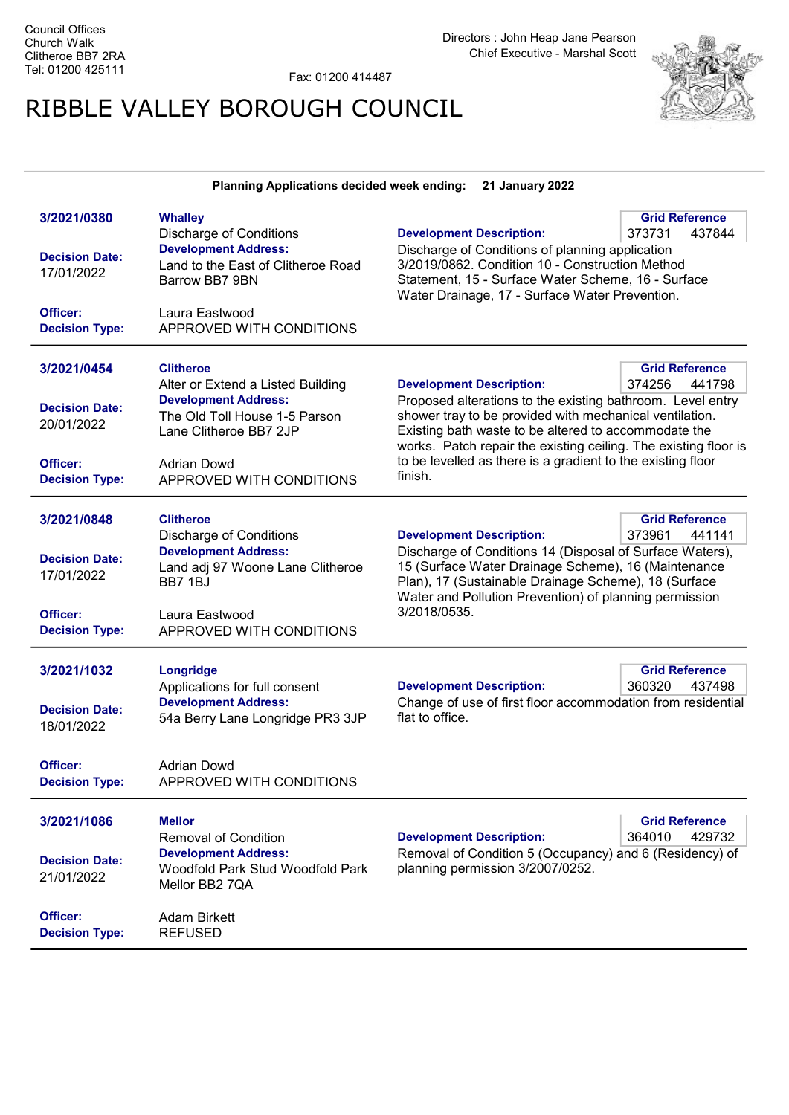Fax: 01200 414487

## RIBBLE VALLEY BOROUGH COUNCIL



## Planning Applications decided week ending: 21 January 2022

| 3/2021/0380                         | <b>Whalley</b><br><b>Discharge of Conditions</b>                                       | <b>Development Description:</b>                                                                                                                                                                                                                  | <b>Grid Reference</b><br>437844<br>373731 |
|-------------------------------------|----------------------------------------------------------------------------------------|--------------------------------------------------------------------------------------------------------------------------------------------------------------------------------------------------------------------------------------------------|-------------------------------------------|
| <b>Decision Date:</b><br>17/01/2022 | <b>Development Address:</b><br>Land to the East of Clitheroe Road<br>Barrow BB7 9BN    | Discharge of Conditions of planning application<br>3/2019/0862. Condition 10 - Construction Method<br>Statement, 15 - Surface Water Scheme, 16 - Surface<br>Water Drainage, 17 - Surface Water Prevention.                                       |                                           |
| Officer:<br><b>Decision Type:</b>   | Laura Eastwood<br>APPROVED WITH CONDITIONS                                             |                                                                                                                                                                                                                                                  |                                           |
| 3/2021/0454                         | <b>Clitheroe</b><br>Alter or Extend a Listed Building                                  | <b>Development Description:</b>                                                                                                                                                                                                                  | <b>Grid Reference</b><br>374256<br>441798 |
| <b>Decision Date:</b><br>20/01/2022 | <b>Development Address:</b><br>The Old Toll House 1-5 Parson<br>Lane Clitheroe BB7 2JP | Proposed alterations to the existing bathroom. Level entry<br>shower tray to be provided with mechanical ventilation.<br>Existing bath waste to be altered to accommodate the<br>works. Patch repair the existing ceiling. The existing floor is |                                           |
| Officer:<br><b>Decision Type:</b>   | <b>Adrian Dowd</b><br>APPROVED WITH CONDITIONS                                         | to be levelled as there is a gradient to the existing floor<br>finish.                                                                                                                                                                           |                                           |
| 3/2021/0848                         | <b>Clitheroe</b><br><b>Discharge of Conditions</b>                                     | <b>Development Description:</b>                                                                                                                                                                                                                  | <b>Grid Reference</b><br>373961<br>441141 |
| <b>Decision Date:</b><br>17/01/2022 | <b>Development Address:</b><br>Land adj 97 Woone Lane Clitheroe<br>BB7 1BJ             | Discharge of Conditions 14 (Disposal of Surface Waters),<br>15 (Surface Water Drainage Scheme), 16 (Maintenance<br>Plan), 17 (Sustainable Drainage Scheme), 18 (Surface<br>Water and Pollution Prevention) of planning permission                |                                           |
| Officer:<br><b>Decision Type:</b>   | Laura Eastwood<br>APPROVED WITH CONDITIONS                                             | 3/2018/0535.                                                                                                                                                                                                                                     |                                           |
| 3/2021/1032                         | Longridge<br>Applications for full consent                                             | <b>Development Description:</b>                                                                                                                                                                                                                  | <b>Grid Reference</b><br>360320<br>437498 |
| <b>Decision Date:</b><br>18/01/2022 | <b>Development Address:</b><br>54a Berry Lane Longridge PR3 3JP                        | Change of use of first floor accommodation from residential<br>flat to office.                                                                                                                                                                   |                                           |
| Officer:<br><b>Decision Type:</b>   | <b>Adrian Dowd</b><br>APPROVED WITH CONDITIONS                                         |                                                                                                                                                                                                                                                  |                                           |
| 3/2021/1086                         | <b>Mellor</b><br><b>Removal of Condition</b>                                           | <b>Development Description:</b>                                                                                                                                                                                                                  | <b>Grid Reference</b><br>364010<br>429732 |
| <b>Decision Date:</b><br>21/01/2022 | <b>Development Address:</b><br>Woodfold Park Stud Woodfold Park<br>Mellor BB2 7QA      | Removal of Condition 5 (Occupancy) and 6 (Residency) of<br>planning permission 3/2007/0252.                                                                                                                                                      |                                           |
| Officer:<br><b>Decision Type:</b>   | <b>Adam Birkett</b><br><b>REFUSED</b>                                                  |                                                                                                                                                                                                                                                  |                                           |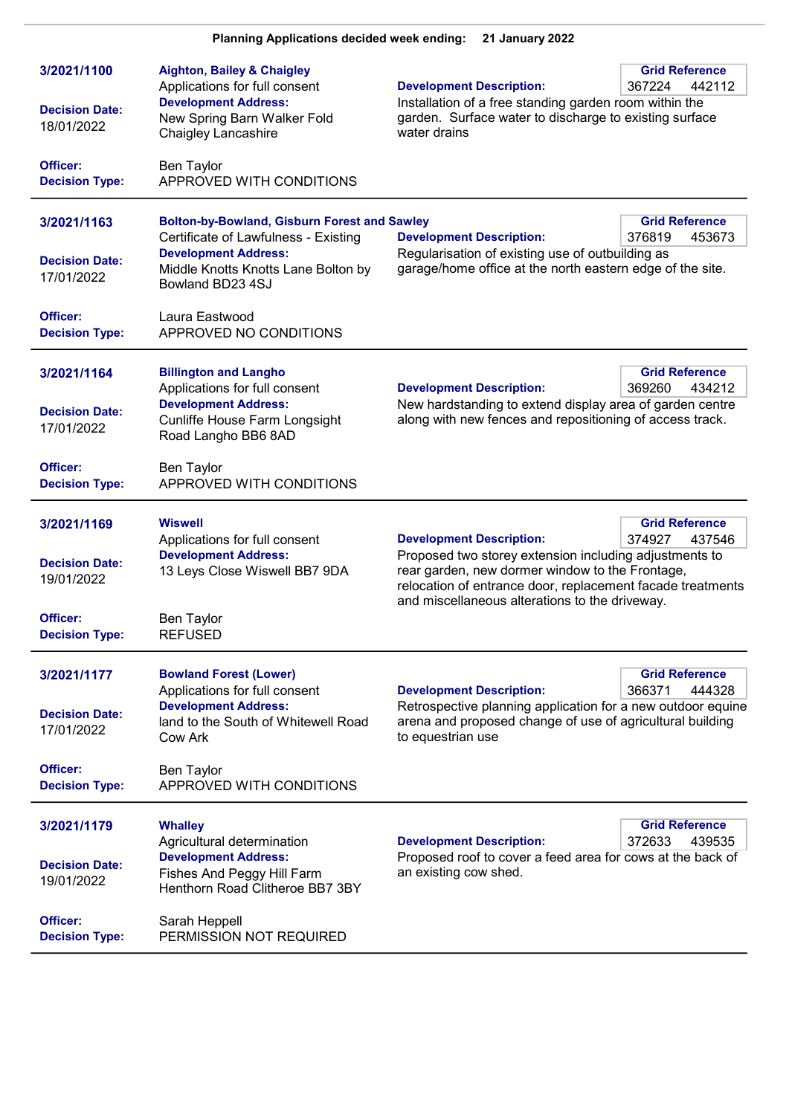|  | Planning Applications decided week ending: | 21 January 2022 |
|--|--------------------------------------------|-----------------|
|--|--------------------------------------------|-----------------|

| <b>Aighton, Bailey &amp; Chaigley</b><br>Applications for full consent<br><b>Development Address:</b><br>New Spring Barn Walker Fold<br><b>Chaigley Lancashire</b>                               | <b>Development Description:</b><br>water drains          | <b>Grid Reference</b><br>367224<br>442112                                                                                                                                                                                                                                                                                                                                                                                                                                                                                                                                                                                                                                                                                                                                                                                               |
|--------------------------------------------------------------------------------------------------------------------------------------------------------------------------------------------------|----------------------------------------------------------|-----------------------------------------------------------------------------------------------------------------------------------------------------------------------------------------------------------------------------------------------------------------------------------------------------------------------------------------------------------------------------------------------------------------------------------------------------------------------------------------------------------------------------------------------------------------------------------------------------------------------------------------------------------------------------------------------------------------------------------------------------------------------------------------------------------------------------------------|
| <b>Ben Taylor</b><br>APPROVED WITH CONDITIONS                                                                                                                                                    |                                                          |                                                                                                                                                                                                                                                                                                                                                                                                                                                                                                                                                                                                                                                                                                                                                                                                                                         |
| Certificate of Lawfulness - Existing<br><b>Development Address:</b><br>Middle Knotts Knotts Lane Bolton by<br>Bowland BD23 4SJ                                                                   | <b>Development Description:</b>                          | <b>Grid Reference</b><br>376819<br>453673                                                                                                                                                                                                                                                                                                                                                                                                                                                                                                                                                                                                                                                                                                                                                                                               |
| Laura Eastwood<br>APPROVED NO CONDITIONS                                                                                                                                                         |                                                          |                                                                                                                                                                                                                                                                                                                                                                                                                                                                                                                                                                                                                                                                                                                                                                                                                                         |
| <b>Billington and Langho</b><br>Applications for full consent<br><b>Development Address:</b><br>Cunliffe House Farm Longsight<br>Road Langho BB6 8AD                                             | <b>Development Description:</b>                          | <b>Grid Reference</b><br>369260<br>434212                                                                                                                                                                                                                                                                                                                                                                                                                                                                                                                                                                                                                                                                                                                                                                                               |
| <b>Ben Taylor</b><br>APPROVED WITH CONDITIONS                                                                                                                                                    |                                                          |                                                                                                                                                                                                                                                                                                                                                                                                                                                                                                                                                                                                                                                                                                                                                                                                                                         |
| <b>Wiswell</b><br>Applications for full consent<br><b>Development Address:</b><br>13 Leys Close Wiswell BB7 9DA<br><b>Ben Taylor</b><br><b>REFUSED</b>                                           | <b>Development Description:</b>                          | <b>Grid Reference</b><br>374927<br>437546                                                                                                                                                                                                                                                                                                                                                                                                                                                                                                                                                                                                                                                                                                                                                                                               |
| <b>Bowland Forest (Lower)</b><br>Applications for full consent<br><b>Development Address:</b><br>land to the South of Whitewell Road<br>Cow Ark<br><b>Ben Taylor</b><br>APPROVED WITH CONDITIONS | <b>Development Description:</b><br>to equestrian use     | <b>Grid Reference</b><br>366371<br>444328                                                                                                                                                                                                                                                                                                                                                                                                                                                                                                                                                                                                                                                                                                                                                                                               |
| <b>Whalley</b><br>Agricultural determination<br><b>Development Address:</b><br>Fishes And Peggy Hill Farm<br>Henthorn Road Clitheroe BB7 3BY<br>Sarah Heppell                                    | <b>Development Description:</b><br>an existing cow shed. | <b>Grid Reference</b><br>372633<br>439535                                                                                                                                                                                                                                                                                                                                                                                                                                                                                                                                                                                                                                                                                                                                                                                               |
|                                                                                                                                                                                                  | PERMISSION NOT REQUIRED                                  | Installation of a free standing garden room within the<br>garden. Surface water to discharge to existing surface<br><b>Bolton-by-Bowland, Gisburn Forest and Sawley</b><br>Regularisation of existing use of outbuilding as<br>garage/home office at the north eastern edge of the site.<br>New hardstanding to extend display area of garden centre<br>along with new fences and repositioning of access track.<br>Proposed two storey extension including adjustments to<br>rear garden, new dormer window to the Frontage,<br>relocation of entrance door, replacement facade treatments<br>and miscellaneous alterations to the driveway.<br>Retrospective planning application for a new outdoor equine<br>arena and proposed change of use of agricultural building<br>Proposed roof to cover a feed area for cows at the back of |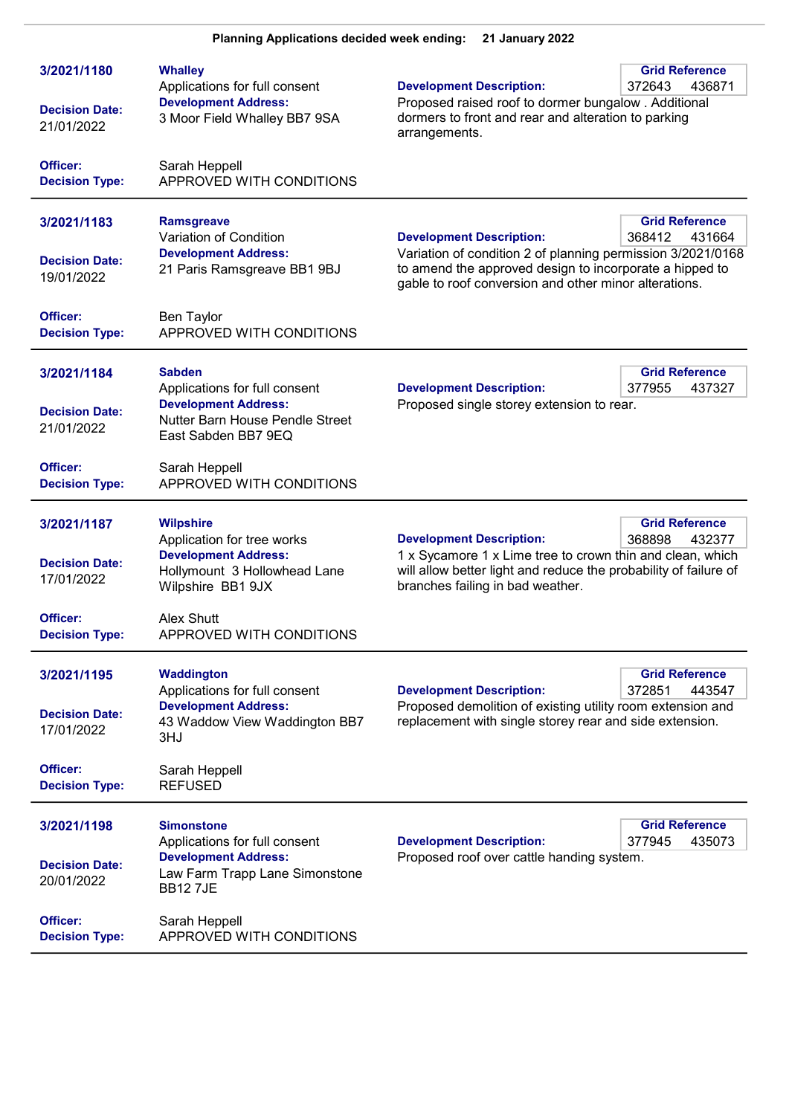| 3/2021/1180                         | <b>Whalley</b>                                                                                                         |                                                                                                                                                                                 | <b>Grid Reference</b>                     |
|-------------------------------------|------------------------------------------------------------------------------------------------------------------------|---------------------------------------------------------------------------------------------------------------------------------------------------------------------------------|-------------------------------------------|
|                                     | Applications for full consent                                                                                          | <b>Development Description:</b>                                                                                                                                                 | 372643<br>436871                          |
| <b>Decision Date:</b><br>21/01/2022 | <b>Development Address:</b><br>3 Moor Field Whalley BB7 9SA                                                            | Proposed raised roof to dormer bungalow . Additional<br>dormers to front and rear and alteration to parking<br>arrangements.                                                    |                                           |
| Officer:<br><b>Decision Type:</b>   | Sarah Heppell<br>APPROVED WITH CONDITIONS                                                                              |                                                                                                                                                                                 |                                           |
| 3/2021/1183                         | <b>Ramsgreave</b><br>Variation of Condition                                                                            | <b>Development Description:</b>                                                                                                                                                 | <b>Grid Reference</b><br>368412<br>431664 |
| <b>Decision Date:</b><br>19/01/2022 | <b>Development Address:</b><br>21 Paris Ramsgreave BB1 9BJ                                                             | Variation of condition 2 of planning permission 3/2021/0168<br>to amend the approved design to incorporate a hipped to<br>gable to roof conversion and other minor alterations. |                                           |
| Officer:<br><b>Decision Type:</b>   | <b>Ben Taylor</b><br>APPROVED WITH CONDITIONS                                                                          |                                                                                                                                                                                 |                                           |
| 3/2021/1184                         | <b>Sabden</b>                                                                                                          | <b>Development Description:</b>                                                                                                                                                 | <b>Grid Reference</b><br>377955<br>437327 |
| <b>Decision Date:</b><br>21/01/2022 | Applications for full consent<br><b>Development Address:</b><br>Nutter Barn House Pendle Street<br>East Sabden BB7 9EQ | Proposed single storey extension to rear.                                                                                                                                       |                                           |
| Officer:<br><b>Decision Type:</b>   | Sarah Heppell<br>APPROVED WITH CONDITIONS                                                                              |                                                                                                                                                                                 |                                           |
| 3/2021/1187                         | <b>Wilpshire</b><br>Application for tree works                                                                         | <b>Development Description:</b>                                                                                                                                                 | <b>Grid Reference</b><br>368898<br>432377 |
| <b>Decision Date:</b><br>17/01/2022 | <b>Development Address:</b><br>Hollymount 3 Hollowhead Lane<br>Wilpshire BB1 9JX                                       | 1 x Sycamore 1 x Lime tree to crown thin and clean, which<br>will allow better light and reduce the probability of failure of<br>branches failing in bad weather.               |                                           |
| Officer:<br><b>Decision Type:</b>   | Alex Shutt<br>APPROVED WITH CONDITIONS                                                                                 |                                                                                                                                                                                 |                                           |
| 3/2021/1195                         | Waddington<br>Applications for full consent                                                                            | <b>Development Description:</b>                                                                                                                                                 | <b>Grid Reference</b><br>372851<br>443547 |
| <b>Decision Date:</b><br>17/01/2022 | <b>Development Address:</b><br>43 Waddow View Waddington BB7<br>3HJ                                                    | Proposed demolition of existing utility room extension and<br>replacement with single storey rear and side extension.                                                           |                                           |
| Officer:<br><b>Decision Type:</b>   | Sarah Heppell<br><b>REFUSED</b>                                                                                        |                                                                                                                                                                                 |                                           |
| 3/2021/1198                         | <b>Simonstone</b><br>Applications for full consent                                                                     | <b>Development Description:</b>                                                                                                                                                 | <b>Grid Reference</b><br>377945<br>435073 |
| <b>Decision Date:</b><br>20/01/2022 | <b>Development Address:</b><br>Law Farm Trapp Lane Simonstone<br><b>BB127JE</b>                                        | Proposed roof over cattle handing system.                                                                                                                                       |                                           |
| Officer:<br><b>Decision Type:</b>   | Sarah Heppell<br>APPROVED WITH CONDITIONS                                                                              |                                                                                                                                                                                 |                                           |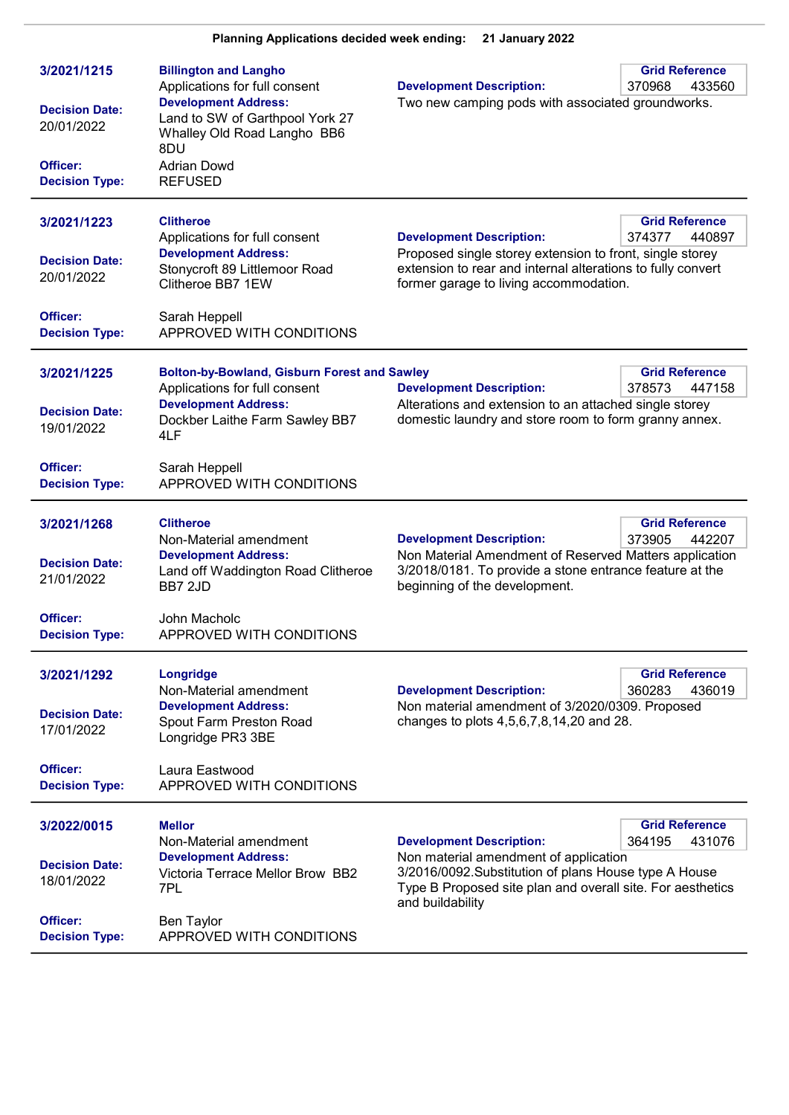| Planning Applications decided week ending: |  |  |  | <b>21 January 2022</b> |  |
|--------------------------------------------|--|--|--|------------------------|--|
|--------------------------------------------|--|--|--|------------------------|--|

| 3/2021/1215<br><b>Decision Date:</b><br>20/01/2022<br>Officer:<br><b>Decision Type:</b>        | <b>Billington and Langho</b><br>Applications for full consent<br><b>Development Address:</b><br>Land to SW of Garthpool York 27<br>Whalley Old Road Langho BB6<br>8DU<br><b>Adrian Dowd</b><br><b>REFUSED</b> | <b>Grid Reference</b><br><b>Development Description:</b><br>370968<br>433560<br>Two new camping pods with associated groundworks.                                                                                                                                |
|------------------------------------------------------------------------------------------------|---------------------------------------------------------------------------------------------------------------------------------------------------------------------------------------------------------------|------------------------------------------------------------------------------------------------------------------------------------------------------------------------------------------------------------------------------------------------------------------|
| 3/2021/1223<br><b>Decision Date:</b><br>20/01/2022<br>Officer:<br><b>Decision Type:</b>        | <b>Clitheroe</b><br>Applications for full consent<br><b>Development Address:</b><br>Stonycroft 89 Littlemoor Road<br>Clitheroe BB7 1EW<br>Sarah Heppell<br>APPROVED WITH CONDITIONS                           | <b>Grid Reference</b><br><b>Development Description:</b><br>440897<br>374377<br>Proposed single storey extension to front, single storey<br>extension to rear and internal alterations to fully convert<br>former garage to living accommodation.                |
| 3/2021/1225<br><b>Decision Date:</b><br>19/01/2022<br>Officer:<br><b>Decision Type:</b>        | <b>Bolton-by-Bowland, Gisburn Forest and Sawley</b><br>Applications for full consent<br><b>Development Address:</b><br>Dockber Laithe Farm Sawley BB7<br>4LF<br>Sarah Heppell<br>APPROVED WITH CONDITIONS     | <b>Grid Reference</b><br><b>Development Description:</b><br>378573<br>447158<br>Alterations and extension to an attached single storey<br>domestic laundry and store room to form granny annex.                                                                  |
| 3/2021/1268<br><b>Decision Date:</b><br>21/01/2022<br><b>Officer:</b><br><b>Decision Type:</b> | <b>Clitheroe</b><br>Non-Material amendment<br><b>Development Address:</b><br>Land off Waddington Road Clitheroe<br>BB7 2JD<br>John Macholc<br>APPROVED WITH CONDITIONS                                        | <b>Grid Reference</b><br>373905<br>442207<br><b>Development Description:</b><br>Non Material Amendment of Reserved Matters application<br>3/2018/0181. To provide a stone entrance feature at the<br>beginning of the development.                               |
| 3/2021/1292<br><b>Decision Date:</b><br>17/01/2022<br>Officer:<br><b>Decision Type:</b>        | Longridge<br>Non-Material amendment<br><b>Development Address:</b><br>Spout Farm Preston Road<br>Longridge PR3 3BE<br>Laura Eastwood<br>APPROVED WITH CONDITIONS                                              | <b>Grid Reference</b><br>360283<br>436019<br><b>Development Description:</b><br>Non material amendment of 3/2020/0309. Proposed<br>changes to plots 4,5,6,7,8,14,20 and 28.                                                                                      |
| 3/2022/0015<br><b>Decision Date:</b><br>18/01/2022<br>Officer:<br><b>Decision Type:</b>        | <b>Mellor</b><br>Non-Material amendment<br><b>Development Address:</b><br>Victoria Terrace Mellor Brow BB2<br>7PL<br><b>Ben Taylor</b><br>APPROVED WITH CONDITIONS                                            | <b>Grid Reference</b><br>364195<br>431076<br><b>Development Description:</b><br>Non material amendment of application<br>3/2016/0092. Substitution of plans House type A House<br>Type B Proposed site plan and overall site. For aesthetics<br>and buildability |